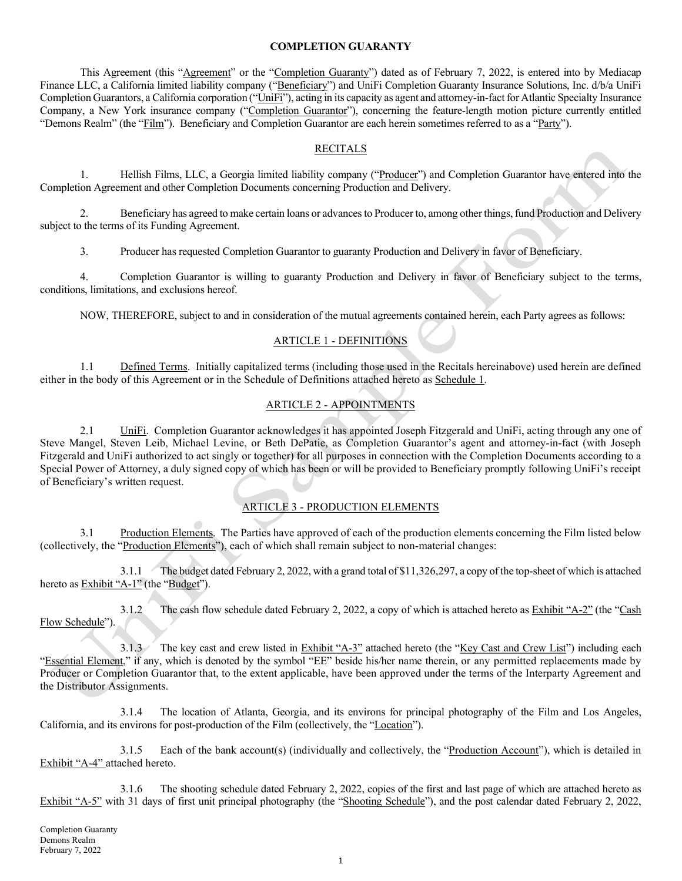#### COMPLETION GUARANTY

This Agreement (this "Agreement" or the "Completion Guaranty") dated as of February 7, 2022, is entered into by Mediacap Finance LLC, a California limited liability company ("Beneficiary") and UniFi Completion Guaranty Insurance Solutions, Inc. d/b/a UniFi Completion Guarantors, a California corporation ("UniFi"), acting in its capacity as agent and attorney-in-fact for Atlantic Specialty Insurance Company, a New York insurance company ("Completion Guarantor"), concerning the feature-length motion picture currently entitled "Demons Realm" (the "Film"). Beneficiary and Completion Guarantor are each herein sometimes referred to as a "Party").

## RECITALS

1. Hellish Films, LLC, a Georgia limited liability company ("Producer") and Completion Guarantor have entered into the Completion Agreement and other Completion Documents concerning Production and Delivery.

2. Beneficiary has agreed to make certain loans or advances to Producer to, among other things, fund Production and Delivery subject to the terms of its Funding Agreement.

3. Producer has requested Completion Guarantor to guaranty Production and Delivery in favor of Beneficiary.

4. Completion Guarantor is willing to guaranty Production and Delivery in favor of Beneficiary subject to the terms, conditions, limitations, and exclusions hereof.

NOW, THEREFORE, subject to and in consideration of the mutual agreements contained herein, each Party agrees as follows:

# ARTICLE 1 - DEFINITIONS

1.1 Defined Terms. Initially capitalized terms (including those used in the Recitals hereinabove) used herein are defined either in the body of this Agreement or in the Schedule of Definitions attached hereto as Schedule 1.

# ARTICLE 2 - APPOINTMENTS

2.1 UniFi. Completion Guarantor acknowledges it has appointed Joseph Fitzgerald and UniFi, acting through any one of Steve Mangel, Steven Leib, Michael Levine, or Beth DePatie, as Completion Guarantor's agent and attorney-in-fact (with Joseph Fitzgerald and UniFi authorized to act singly or together) for all purposes in connection with the Completion Documents according to a Special Power of Attorney, a duly signed copy of which has been or will be provided to Beneficiary promptly following UniFi's receipt of Beneficiary's written request.

#### ARTICLE 3 - PRODUCTION ELEMENTS

3.1 Production Elements. The Parties have approved of each of the production elements concerning the Film listed below (collectively, the "Production Elements"), each of which shall remain subject to non-material changes:

3.1.1 The budget dated February 2, 2022, with a grand total of \$11,326,297, a copy of the top-sheet of which is attached hereto as Exhibit "A-1" (the "Budget").

3.1.2 The cash flow schedule dated February 2, 2022, a copy of which is attached hereto as Exhibit "A-2" (the "Cash Flow Schedule").

3.1.3 The key cast and crew listed in Exhibit "A-3" attached hereto (the "Key Cast and Crew List") including each "Essential Element," if any, which is denoted by the symbol "EE" beside his/her name therein, or any permitted replacements made by Producer or Completion Guarantor that, to the extent applicable, have been approved under the terms of the Interparty Agreement and the Distributor Assignments.

3.1.4 The location of Atlanta, Georgia, and its environs for principal photography of the Film and Los Angeles, California, and its environs for post-production of the Film (collectively, the "Location").

3.1.5 Each of the bank account(s) (individually and collectively, the "Production Account"), which is detailed in Exhibit "A-4" attached hereto.

3.1.6 The shooting schedule dated February 2, 2022, copies of the first and last page of which are attached hereto as Exhibit "A-5" with 31 days of first unit principal photography (the "Shooting Schedule"), and the post calendar dated February 2, 2022,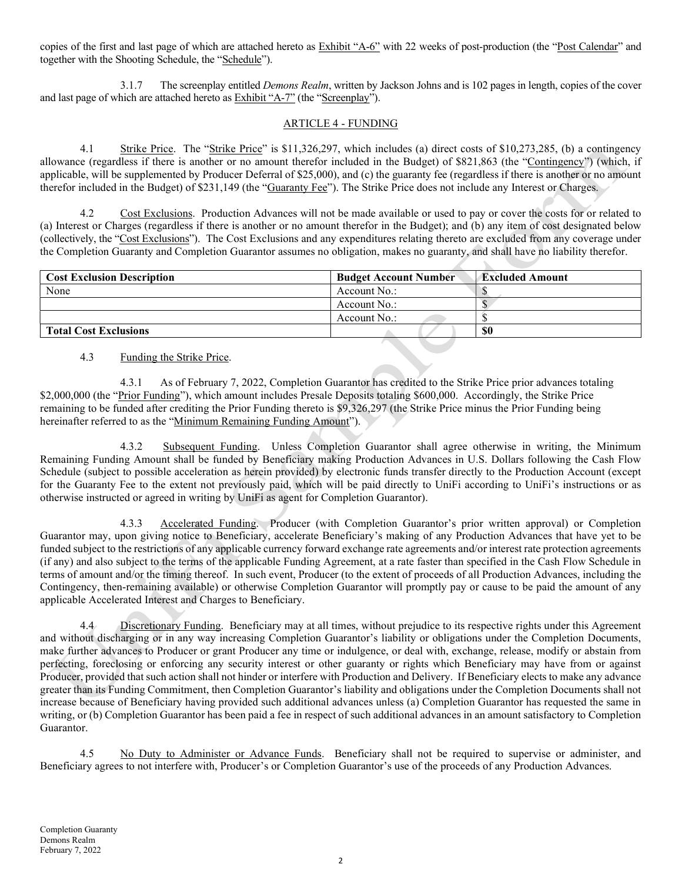copies of the first and last page of which are attached hereto as Exhibit "A-6" with 22 weeks of post-production (the "Post Calendar" and together with the Shooting Schedule, the "Schedule").

3.1.7 The screenplay entitled *Demons Realm*, written by Jackson Johns and is 102 pages in length, copies of the cover and last page of which are attached hereto as Exhibit "A-7" (the "Screenplay").

# ARTICLE 4 - FUNDING

4.1 Strike Price. The "Strike Price" is \$11,326,297, which includes (a) direct costs of \$10,273,285, (b) a contingency allowance (regardless if there is another or no amount therefor included in the Budget) of \$821,863 (the "Contingency") (which, if applicable, will be supplemented by Producer Deferral of \$25,000), and (c) the guaranty fee (regardless if there is another or no amount therefor included in the Budget) of \$231,149 (the "Guaranty Fee"). The Strike Price does not include any Interest or Charges.

4.2 Cost Exclusions. Production Advances will not be made available or used to pay or cover the costs for or related to (a) Interest or Charges (regardless if there is another or no amount therefor in the Budget); and (b) any item of cost designated below (collectively, the "Cost Exclusions"). The Cost Exclusions and any expenditures relating thereto are excluded from any coverage under the Completion Guaranty and Completion Guarantor assumes no obligation, makes no guaranty, and shall have no liability therefor.

| <b>Cost Exclusion Description</b> | <b>Budget Account Number</b> | <b>Excluded Amount</b> |
|-----------------------------------|------------------------------|------------------------|
| None                              | Account No.:                 |                        |
|                                   | Account No.:                 |                        |
|                                   | Account No.:                 |                        |
| <b>Total Cost Exclusions</b>      |                              | -\$0                   |

# 4.3 Funding the Strike Price.

4.3.1 As of February 7, 2022, Completion Guarantor has credited to the Strike Price prior advances totaling \$2,000,000 (the "Prior Funding"), which amount includes Presale Deposits totaling \$600,000. Accordingly, the Strike Price remaining to be funded after crediting the Prior Funding thereto is \$9,326,297 (the Strike Price minus the Prior Funding being hereinafter referred to as the "Minimum Remaining Funding Amount").

4.3.2 Subsequent Funding. Unless Completion Guarantor shall agree otherwise in writing, the Minimum Remaining Funding Amount shall be funded by Beneficiary making Production Advances in U.S. Dollars following the Cash Flow Schedule (subject to possible acceleration as herein provided) by electronic funds transfer directly to the Production Account (except for the Guaranty Fee to the extent not previously paid, which will be paid directly to UniFi according to UniFi's instructions or as otherwise instructed or agreed in writing by UniFi as agent for Completion Guarantor).

4.3.3 Accelerated Funding. Producer (with Completion Guarantor's prior written approval) or Completion Guarantor may, upon giving notice to Beneficiary, accelerate Beneficiary's making of any Production Advances that have yet to be funded subject to the restrictions of any applicable currency forward exchange rate agreements and/or interest rate protection agreements (if any) and also subject to the terms of the applicable Funding Agreement, at a rate faster than specified in the Cash Flow Schedule in terms of amount and/or the timing thereof. In such event, Producer (to the extent of proceeds of all Production Advances, including the Contingency, then-remaining available) or otherwise Completion Guarantor will promptly pay or cause to be paid the amount of any applicable Accelerated Interest and Charges to Beneficiary.

4.4 Discretionary Funding. Beneficiary may at all times, without prejudice to its respective rights under this Agreement and without discharging or in any way increasing Completion Guarantor's liability or obligations under the Completion Documents, make further advances to Producer or grant Producer any time or indulgence, or deal with, exchange, release, modify or abstain from perfecting, foreclosing or enforcing any security interest or other guaranty or rights which Beneficiary may have from or against Producer, provided that such action shall not hinder or interfere with Production and Delivery. If Beneficiary elects to make any advance greater than its Funding Commitment, then Completion Guarantor's liability and obligations under the Completion Documents shall not increase because of Beneficiary having provided such additional advances unless (a) Completion Guarantor has requested the same in writing, or (b) Completion Guarantor has been paid a fee in respect of such additional advances in an amount satisfactory to Completion Guarantor.

4.5 No Duty to Administer or Advance Funds. Beneficiary shall not be required to supervise or administer, and Beneficiary agrees to not interfere with, Producer's or Completion Guarantor's use of the proceeds of any Production Advances.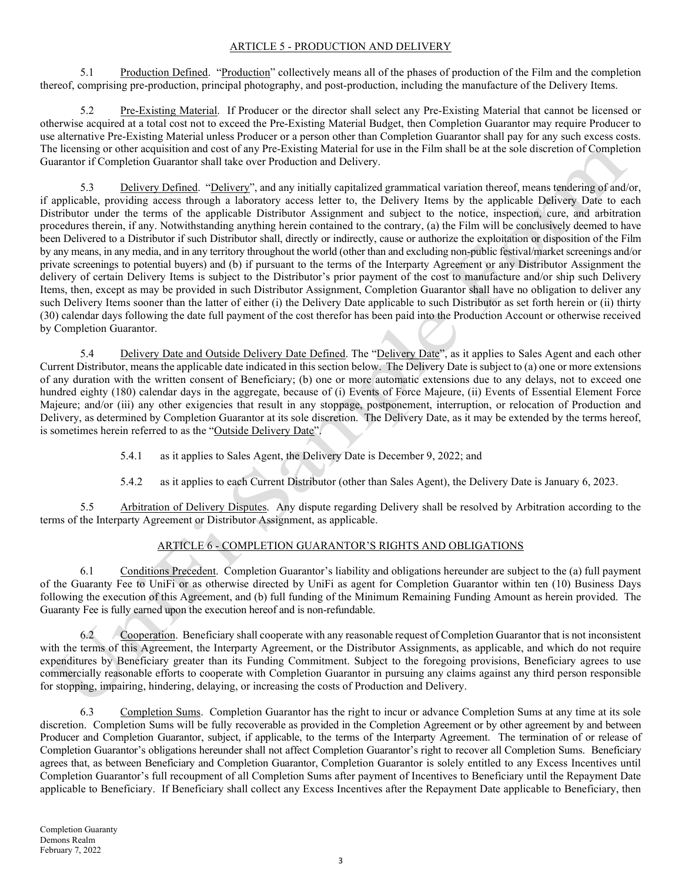## ARTICLE 5 - PRODUCTION AND DELIVERY

5.1 Production Defined. "Production" collectively means all of the phases of production of the Film and the completion thereof, comprising pre-production, principal photography, and post-production, including the manufacture of the Delivery Items.

5.2 Pre-Existing Material. If Producer or the director shall select any Pre-Existing Material that cannot be licensed or otherwise acquired at a total cost not to exceed the Pre-Existing Material Budget, then Completion Guarantor may require Producer to use alternative Pre-Existing Material unless Producer or a person other than Completion Guarantor shall pay for any such excess costs. The licensing or other acquisition and cost of any Pre-Existing Material for use in the Film shall be at the sole discretion of Completion Guarantor if Completion Guarantor shall take over Production and Delivery.

5.3 Delivery Defined. "Delivery", and any initially capitalized grammatical variation thereof, means tendering of and/or, if applicable, providing access through a laboratory access letter to, the Delivery Items by the applicable Delivery Date to each Distributor under the terms of the applicable Distributor Assignment and subject to the notice, inspection, cure, and arbitration procedures therein, if any. Notwithstanding anything herein contained to the contrary, (a) the Film will be conclusively deemed to have been Delivered to a Distributor if such Distributor shall, directly or indirectly, cause or authorize the exploitation or disposition of the Film by any means, in any media, and in any territory throughout the world (other than and excluding non-public festival/market screenings and/or private screenings to potential buyers) and (b) if pursuant to the terms of the Interparty Agreement or any Distributor Assignment the delivery of certain Delivery Items is subject to the Distributor's prior payment of the cost to manufacture and/or ship such Delivery Items, then, except as may be provided in such Distributor Assignment, Completion Guarantor shall have no obligation to deliver any such Delivery Items sooner than the latter of either (i) the Delivery Date applicable to such Distributor as set forth herein or (ii) thirty (30) calendar days following the date full payment of the cost therefor has been paid into the Production Account or otherwise received by Completion Guarantor.

5.4 Delivery Date and Outside Delivery Date Defined. The "Delivery Date", as it applies to Sales Agent and each other Current Distributor, means the applicable date indicated in this section below. The Delivery Date is subject to (a) one or more extensions of any duration with the written consent of Beneficiary; (b) one or more automatic extensions due to any delays, not to exceed one hundred eighty (180) calendar days in the aggregate, because of (i) Events of Force Majeure, (ii) Events of Essential Element Force Majeure; and/or (iii) any other exigencies that result in any stoppage, postponement, interruption, or relocation of Production and Delivery, as determined by Completion Guarantor at its sole discretion. The Delivery Date, as it may be extended by the terms hereof, is sometimes herein referred to as the "Outside Delivery Date".

5.4.1 as it applies to Sales Agent, the Delivery Date is December 9, 2022; and

5.4.2 as it applies to each Current Distributor (other than Sales Agent), the Delivery Date is January 6, 2023.

5.5 Arbitration of Delivery Disputes. Any dispute regarding Delivery shall be resolved by Arbitration according to the terms of the Interparty Agreement or Distributor Assignment, as applicable.

# ARTICLE 6 - COMPLETION GUARANTOR'S RIGHTS AND OBLIGATIONS

6.1 Conditions Precedent. Completion Guarantor's liability and obligations hereunder are subject to the (a) full payment of the Guaranty Fee to UniFi or as otherwise directed by UniFi as agent for Completion Guarantor within ten (10) Business Days following the execution of this Agreement, and (b) full funding of the Minimum Remaining Funding Amount as herein provided. The Guaranty Fee is fully earned upon the execution hereof and is non-refundable.

6.2 Cooperation. Beneficiary shall cooperate with any reasonable request of Completion Guarantor that is not inconsistent with the terms of this Agreement, the Interparty Agreement, or the Distributor Assignments, as applicable, and which do not require expenditures by Beneficiary greater than its Funding Commitment. Subject to the foregoing provisions, Beneficiary agrees to use commercially reasonable efforts to cooperate with Completion Guarantor in pursuing any claims against any third person responsible for stopping, impairing, hindering, delaying, or increasing the costs of Production and Delivery.

6.3 Completion Sums. Completion Guarantor has the right to incur or advance Completion Sums at any time at its sole discretion. Completion Sums will be fully recoverable as provided in the Completion Agreement or by other agreement by and between Producer and Completion Guarantor, subject, if applicable, to the terms of the Interparty Agreement. The termination of or release of Completion Guarantor's obligations hereunder shall not affect Completion Guarantor's right to recover all Completion Sums. Beneficiary agrees that, as between Beneficiary and Completion Guarantor, Completion Guarantor is solely entitled to any Excess Incentives until Completion Guarantor's full recoupment of all Completion Sums after payment of Incentives to Beneficiary until the Repayment Date applicable to Beneficiary. If Beneficiary shall collect any Excess Incentives after the Repayment Date applicable to Beneficiary, then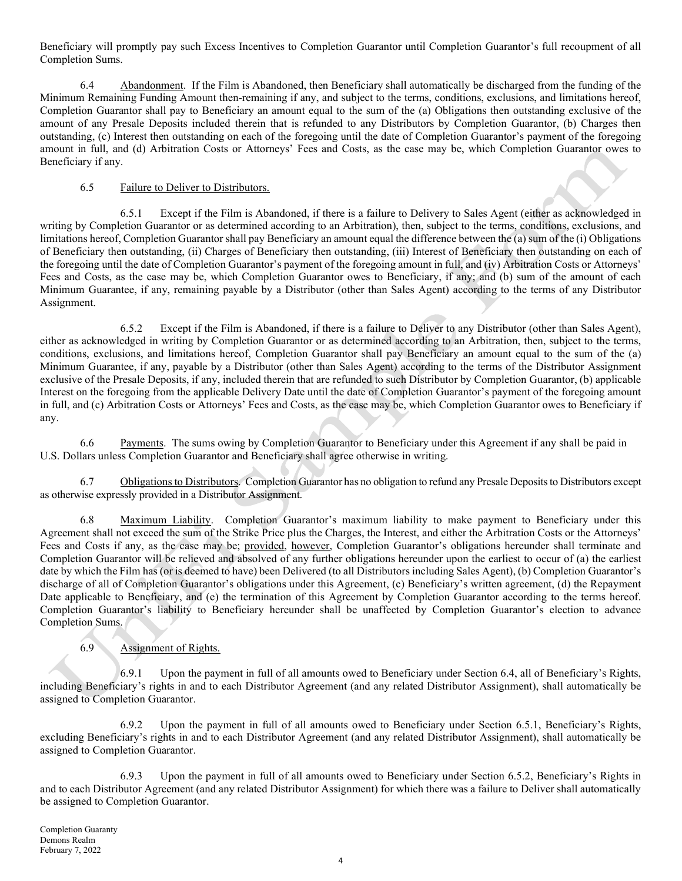Beneficiary will promptly pay such Excess Incentives to Completion Guarantor until Completion Guarantor's full recoupment of all Completion Sums.

6.4 Abandonment. If the Film is Abandoned, then Beneficiary shall automatically be discharged from the funding of the Minimum Remaining Funding Amount then-remaining if any, and subject to the terms, conditions, exclusions, and limitations hereof, Completion Guarantor shall pay to Beneficiary an amount equal to the sum of the (a) Obligations then outstanding exclusive of the amount of any Presale Deposits included therein that is refunded to any Distributors by Completion Guarantor, (b) Charges then outstanding, (c) Interest then outstanding on each of the foregoing until the date of Completion Guarantor's payment of the foregoing amount in full, and (d) Arbitration Costs or Attorneys' Fees and Costs, as the case may be, which Completion Guarantor owes to Beneficiary if any.

## 6.5 Failure to Deliver to Distributors.

6.5.1 Except if the Film is Abandoned, if there is a failure to Delivery to Sales Agent (either as acknowledged in writing by Completion Guarantor or as determined according to an Arbitration), then, subject to the terms, conditions, exclusions, and limitations hereof, Completion Guarantor shall pay Beneficiary an amount equal the difference between the (a) sum of the (i) Obligations of Beneficiary then outstanding, (ii) Charges of Beneficiary then outstanding, (iii) Interest of Beneficiary then outstanding on each of the foregoing until the date of Completion Guarantor's payment of the foregoing amount in full, and (iv) Arbitration Costs or Attorneys' Fees and Costs, as the case may be, which Completion Guarantor owes to Beneficiary, if any; and (b) sum of the amount of each Minimum Guarantee, if any, remaining payable by a Distributor (other than Sales Agent) according to the terms of any Distributor Assignment.

6.5.2 Except if the Film is Abandoned, if there is a failure to Deliver to any Distributor (other than Sales Agent), either as acknowledged in writing by Completion Guarantor or as determined according to an Arbitration, then, subject to the terms, conditions, exclusions, and limitations hereof, Completion Guarantor shall pay Beneficiary an amount equal to the sum of the (a) Minimum Guarantee, if any, payable by a Distributor (other than Sales Agent) according to the terms of the Distributor Assignment exclusive of the Presale Deposits, if any, included therein that are refunded to such Distributor by Completion Guarantor, (b) applicable Interest on the foregoing from the applicable Delivery Date until the date of Completion Guarantor's payment of the foregoing amount in full, and (c) Arbitration Costs or Attorneys' Fees and Costs, as the case may be, which Completion Guarantor owes to Beneficiary if any.

6.6 Payments. The sums owing by Completion Guarantor to Beneficiary under this Agreement if any shall be paid in U.S. Dollars unless Completion Guarantor and Beneficiary shall agree otherwise in writing.

6.7 Obligations to Distributors. Completion Guarantor has no obligation to refund any Presale Deposits to Distributors except as otherwise expressly provided in a Distributor Assignment.

6.8 Maximum Liability. Completion Guarantor's maximum liability to make payment to Beneficiary under this Agreement shall not exceed the sum of the Strike Price plus the Charges, the Interest, and either the Arbitration Costs or the Attorneys' Fees and Costs if any, as the case may be; provided, however, Completion Guarantor's obligations hereunder shall terminate and Completion Guarantor will be relieved and absolved of any further obligations hereunder upon the earliest to occur of (a) the earliest date by which the Film has (or is deemed to have) been Delivered (to all Distributors including Sales Agent), (b) Completion Guarantor's discharge of all of Completion Guarantor's obligations under this Agreement, (c) Beneficiary's written agreement, (d) the Repayment Date applicable to Beneficiary, and (e) the termination of this Agreement by Completion Guarantor according to the terms hereof. Completion Guarantor's liability to Beneficiary hereunder shall be unaffected by Completion Guarantor's election to advance Completion Sums.

# 6.9 Assignment of Rights.

6.9.1 Upon the payment in full of all amounts owed to Beneficiary under Section 6.4, all of Beneficiary's Rights, including Beneficiary's rights in and to each Distributor Agreement (and any related Distributor Assignment), shall automatically be assigned to Completion Guarantor.

6.9.2 Upon the payment in full of all amounts owed to Beneficiary under Section 6.5.1, Beneficiary's Rights, excluding Beneficiary's rights in and to each Distributor Agreement (and any related Distributor Assignment), shall automatically be assigned to Completion Guarantor.

6.9.3 Upon the payment in full of all amounts owed to Beneficiary under Section 6.5.2, Beneficiary's Rights in and to each Distributor Agreement (and any related Distributor Assignment) for which there was a failure to Deliver shall automatically be assigned to Completion Guarantor.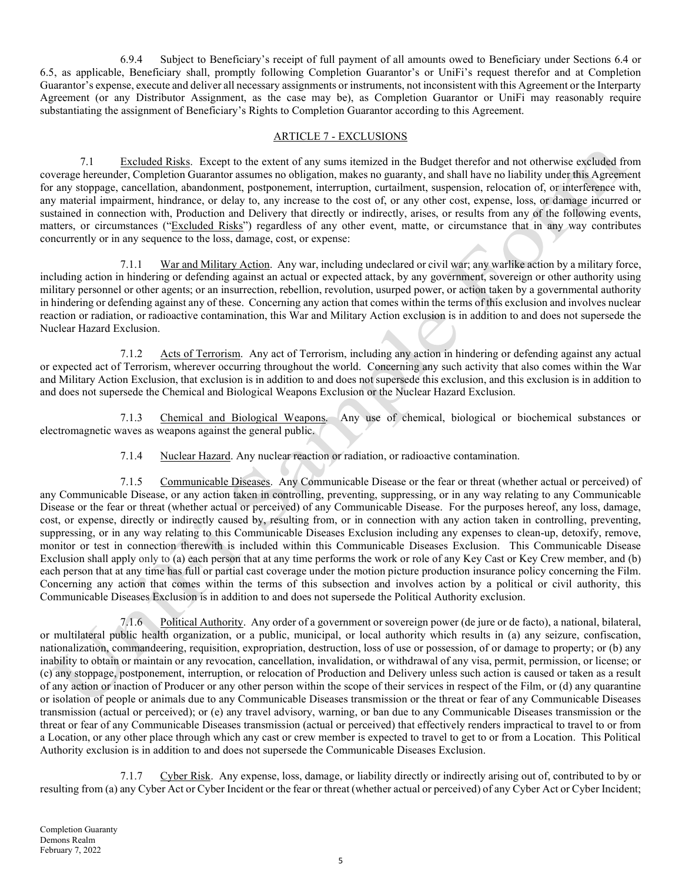6.9.4 Subject to Beneficiary's receipt of full payment of all amounts owed to Beneficiary under Sections 6.4 or 6.5, as applicable, Beneficiary shall, promptly following Completion Guarantor's or UniFi's request therefor and at Completion Guarantor's expense, execute and deliver all necessary assignments or instruments, not inconsistent with this Agreement or the Interparty Agreement (or any Distributor Assignment, as the case may be), as Completion Guarantor or UniFi may reasonably require substantiating the assignment of Beneficiary's Rights to Completion Guarantor according to this Agreement.

## ARTICLE 7 - EXCLUSIONS

7.1 Excluded Risks. Except to the extent of any sums itemized in the Budget therefor and not otherwise excluded from coverage hereunder, Completion Guarantor assumes no obligation, makes no guaranty, and shall have no liability under this Agreement for any stoppage, cancellation, abandonment, postponement, interruption, curtailment, suspension, relocation of, or interference with, any material impairment, hindrance, or delay to, any increase to the cost of, or any other cost, expense, loss, or damage incurred or sustained in connection with, Production and Delivery that directly or indirectly, arises, or results from any of the following events, matters, or circumstances ("Excluded Risks") regardless of any other event, matte, or circumstance that in any way contributes concurrently or in any sequence to the loss, damage, cost, or expense:

7.1.1 War and Military Action. Any war, including undeclared or civil war; any warlike action by a military force, including action in hindering or defending against an actual or expected attack, by any government, sovereign or other authority using military personnel or other agents; or an insurrection, rebellion, revolution, usurped power, or action taken by a governmental authority in hindering or defending against any of these. Concerning any action that comes within the terms of this exclusion and involves nuclear reaction or radiation, or radioactive contamination, this War and Military Action exclusion is in addition to and does not supersede the Nuclear Hazard Exclusion.

7.1.2 Acts of Terrorism. Any act of Terrorism, including any action in hindering or defending against any actual or expected act of Terrorism, wherever occurring throughout the world. Concerning any such activity that also comes within the War and Military Action Exclusion, that exclusion is in addition to and does not supersede this exclusion, and this exclusion is in addition to and does not supersede the Chemical and Biological Weapons Exclusion or the Nuclear Hazard Exclusion.

7.1.3 Chemical and Biological Weapons. Any use of chemical, biological or biochemical substances or electromagnetic waves as weapons against the general public.

7.1.4 Nuclear Hazard. Any nuclear reaction or radiation, or radioactive contamination.

7.1.5 Communicable Diseases. Any Communicable Disease or the fear or threat (whether actual or perceived) of any Communicable Disease, or any action taken in controlling, preventing, suppressing, or in any way relating to any Communicable Disease or the fear or threat (whether actual or perceived) of any Communicable Disease. For the purposes hereof, any loss, damage, cost, or expense, directly or indirectly caused by, resulting from, or in connection with any action taken in controlling, preventing, suppressing, or in any way relating to this Communicable Diseases Exclusion including any expenses to clean-up, detoxify, remove, monitor or test in connection therewith is included within this Communicable Diseases Exclusion. This Communicable Disease Exclusion shall apply only to (a) each person that at any time performs the work or role of any Key Cast or Key Crew member, and (b) each person that at any time has full or partial cast coverage under the motion picture production insurance policy concerning the Film. Concerning any action that comes within the terms of this subsection and involves action by a political or civil authority, this Communicable Diseases Exclusion is in addition to and does not supersede the Political Authority exclusion.

7.1.6 Political Authority. Any order of a government or sovereign power (de jure or de facto), a national, bilateral, or multilateral public health organization, or a public, municipal, or local authority which results in (a) any seizure, confiscation, nationalization, commandeering, requisition, expropriation, destruction, loss of use or possession, of or damage to property; or (b) any inability to obtain or maintain or any revocation, cancellation, invalidation, or withdrawal of any visa, permit, permission, or license; or (c) any stoppage, postponement, interruption, or relocation of Production and Delivery unless such action is caused or taken as a result of any action or inaction of Producer or any other person within the scope of their services in respect of the Film, or (d) any quarantine or isolation of people or animals due to any Communicable Diseases transmission or the threat or fear of any Communicable Diseases transmission (actual or perceived); or (e) any travel advisory, warning, or ban due to any Communicable Diseases transmission or the threat or fear of any Communicable Diseases transmission (actual or perceived) that effectively renders impractical to travel to or from a Location, or any other place through which any cast or crew member is expected to travel to get to or from a Location. This Political Authority exclusion is in addition to and does not supersede the Communicable Diseases Exclusion.

7.1.7 Cyber Risk. Any expense, loss, damage, or liability directly or indirectly arising out of, contributed to by or resulting from (a) any Cyber Act or Cyber Incident or the fear or threat (whether actual or perceived) of any Cyber Act or Cyber Incident;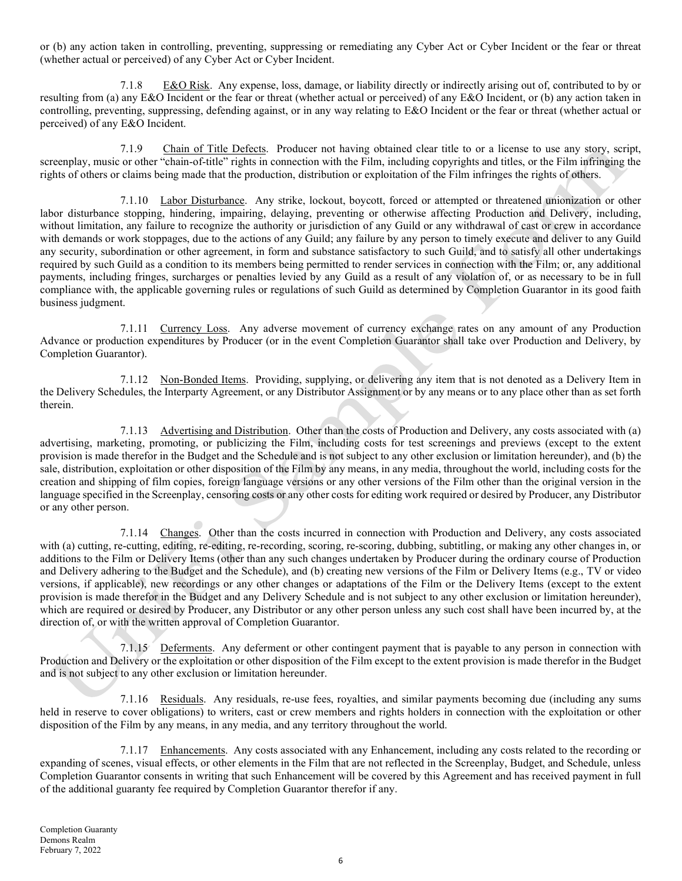or (b) any action taken in controlling, preventing, suppressing or remediating any Cyber Act or Cyber Incident or the fear or threat (whether actual or perceived) of any Cyber Act or Cyber Incident.

7.1.8 E&O Risk. Any expense, loss, damage, or liability directly or indirectly arising out of, contributed to by or resulting from (a) any E&O Incident or the fear or threat (whether actual or perceived) of any E&O Incident, or (b) any action taken in controlling, preventing, suppressing, defending against, or in any way relating to E&O Incident or the fear or threat (whether actual or perceived) of any E&O Incident.

7.1.9 Chain of Title Defects. Producer not having obtained clear title to or a license to use any story, script, screenplay, music or other "chain-of-title" rights in connection with the Film, including copyrights and titles, or the Film infringing the rights of others or claims being made that the production, distribution or exploitation of the Film infringes the rights of others.

7.1.10 Labor Disturbance. Any strike, lockout, boycott, forced or attempted or threatened unionization or other labor disturbance stopping, hindering, impairing, delaying, preventing or otherwise affecting Production and Delivery, including, without limitation, any failure to recognize the authority or jurisdiction of any Guild or any withdrawal of cast or crew in accordance with demands or work stoppages, due to the actions of any Guild; any failure by any person to timely execute and deliver to any Guild any security, subordination or other agreement, in form and substance satisfactory to such Guild, and to satisfy all other undertakings required by such Guild as a condition to its members being permitted to render services in connection with the Film; or, any additional payments, including fringes, surcharges or penalties levied by any Guild as a result of any violation of, or as necessary to be in full compliance with, the applicable governing rules or regulations of such Guild as determined by Completion Guarantor in its good faith business judgment.

7.1.11 Currency Loss. Any adverse movement of currency exchange rates on any amount of any Production Advance or production expenditures by Producer (or in the event Completion Guarantor shall take over Production and Delivery, by Completion Guarantor).

7.1.12 Non-Bonded Items. Providing, supplying, or delivering any item that is not denoted as a Delivery Item in the Delivery Schedules, the Interparty Agreement, or any Distributor Assignment or by any means or to any place other than as set forth therein.

7.1.13 Advertising and Distribution. Other than the costs of Production and Delivery, any costs associated with (a) advertising, marketing, promoting, or publicizing the Film, including costs for test screenings and previews (except to the extent provision is made therefor in the Budget and the Schedule and is not subject to any other exclusion or limitation hereunder), and (b) the sale, distribution, exploitation or other disposition of the Film by any means, in any media, throughout the world, including costs for the creation and shipping of film copies, foreign language versions or any other versions of the Film other than the original version in the language specified in the Screenplay, censoring costs or any other costs for editing work required or desired by Producer, any Distributor or any other person.

7.1.14 Changes. Other than the costs incurred in connection with Production and Delivery, any costs associated with (a) cutting, re-cutting, editing, re-editing, re-recording, scoring, re-scoring, dubbing, subtitling, or making any other changes in, or additions to the Film or Delivery Items (other than any such changes undertaken by Producer during the ordinary course of Production and Delivery adhering to the Budget and the Schedule), and (b) creating new versions of the Film or Delivery Items (e.g., TV or video versions, if applicable), new recordings or any other changes or adaptations of the Film or the Delivery Items (except to the extent provision is made therefor in the Budget and any Delivery Schedule and is not subject to any other exclusion or limitation hereunder), which are required or desired by Producer, any Distributor or any other person unless any such cost shall have been incurred by, at the direction of, or with the written approval of Completion Guarantor.

7.1.15 Deferments. Any deferment or other contingent payment that is payable to any person in connection with Production and Delivery or the exploitation or other disposition of the Film except to the extent provision is made therefor in the Budget and is not subject to any other exclusion or limitation hereunder.

7.1.16 Residuals. Any residuals, re-use fees, royalties, and similar payments becoming due (including any sums held in reserve to cover obligations) to writers, cast or crew members and rights holders in connection with the exploitation or other disposition of the Film by any means, in any media, and any territory throughout the world.

7.1.17 Enhancements. Any costs associated with any Enhancement, including any costs related to the recording or expanding of scenes, visual effects, or other elements in the Film that are not reflected in the Screenplay, Budget, and Schedule, unless Completion Guarantor consents in writing that such Enhancement will be covered by this Agreement and has received payment in full of the additional guaranty fee required by Completion Guarantor therefor if any.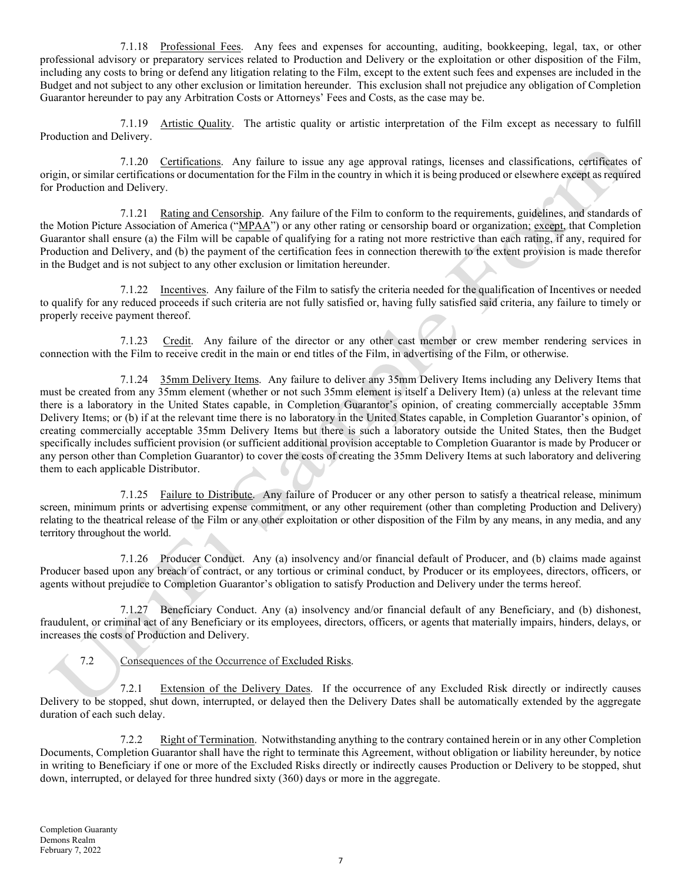7.1.18 Professional Fees. Any fees and expenses for accounting, auditing, bookkeeping, legal, tax, or other professional advisory or preparatory services related to Production and Delivery or the exploitation or other disposition of the Film, including any costs to bring or defend any litigation relating to the Film, except to the extent such fees and expenses are included in the Budget and not subject to any other exclusion or limitation hereunder. This exclusion shall not prejudice any obligation of Completion Guarantor hereunder to pay any Arbitration Costs or Attorneys' Fees and Costs, as the case may be.

7.1.19 Artistic Quality. The artistic quality or artistic interpretation of the Film except as necessary to fulfill Production and Delivery.

7.1.20 Certifications. Any failure to issue any age approval ratings, licenses and classifications, certificates of origin, or similar certifications or documentation for the Film in the country in which it is being produced or elsewhere except as required for Production and Delivery.

7.1.21 Rating and Censorship. Any failure of the Film to conform to the requirements, guidelines, and standards of the Motion Picture Association of America ("MPAA") or any other rating or censorship board or organization; except, that Completion Guarantor shall ensure (a) the Film will be capable of qualifying for a rating not more restrictive than each rating, if any, required for Production and Delivery, and (b) the payment of the certification fees in connection therewith to the extent provision is made therefor in the Budget and is not subject to any other exclusion or limitation hereunder.

7.1.22 Incentives. Any failure of the Film to satisfy the criteria needed for the qualification of Incentives or needed to qualify for any reduced proceeds if such criteria are not fully satisfied or, having fully satisfied said criteria, any failure to timely or properly receive payment thereof.

7.1.23 Credit. Any failure of the director or any other cast member or crew member rendering services in connection with the Film to receive credit in the main or end titles of the Film, in advertising of the Film, or otherwise.

7.1.24 35mm Delivery Items. Any failure to deliver any 35mm Delivery Items including any Delivery Items that must be created from any 35mm element (whether or not such 35mm element is itself a Delivery Item) (a) unless at the relevant time there is a laboratory in the United States capable, in Completion Guarantor's opinion, of creating commercially acceptable 35mm Delivery Items; or (b) if at the relevant time there is no laboratory in the United States capable, in Completion Guarantor's opinion, of creating commercially acceptable 35mm Delivery Items but there is such a laboratory outside the United States, then the Budget specifically includes sufficient provision (or sufficient additional provision acceptable to Completion Guarantor is made by Producer or any person other than Completion Guarantor) to cover the costs of creating the 35mm Delivery Items at such laboratory and delivering them to each applicable Distributor.

7.1.25 Failure to Distribute. Any failure of Producer or any other person to satisfy a theatrical release, minimum screen, minimum prints or advertising expense commitment, or any other requirement (other than completing Production and Delivery) relating to the theatrical release of the Film or any other exploitation or other disposition of the Film by any means, in any media, and any territory throughout the world.

7.1.26 Producer Conduct. Any (a) insolvency and/or financial default of Producer, and (b) claims made against Producer based upon any breach of contract, or any tortious or criminal conduct, by Producer or its employees, directors, officers, or agents without prejudice to Completion Guarantor's obligation to satisfy Production and Delivery under the terms hereof.

7.1.27 Beneficiary Conduct. Any (a) insolvency and/or financial default of any Beneficiary, and (b) dishonest, fraudulent, or criminal act of any Beneficiary or its employees, directors, officers, or agents that materially impairs, hinders, delays, or increases the costs of Production and Delivery.

# 7.2 Consequences of the Occurrence of Excluded Risks.

7.2.1 Extension of the Delivery Dates. If the occurrence of any Excluded Risk directly or indirectly causes Delivery to be stopped, shut down, interrupted, or delayed then the Delivery Dates shall be automatically extended by the aggregate duration of each such delay.

7.2.2 Right of Termination. Notwithstanding anything to the contrary contained herein or in any other Completion Documents, Completion Guarantor shall have the right to terminate this Agreement, without obligation or liability hereunder, by notice in writing to Beneficiary if one or more of the Excluded Risks directly or indirectly causes Production or Delivery to be stopped, shut down, interrupted, or delayed for three hundred sixty (360) days or more in the aggregate.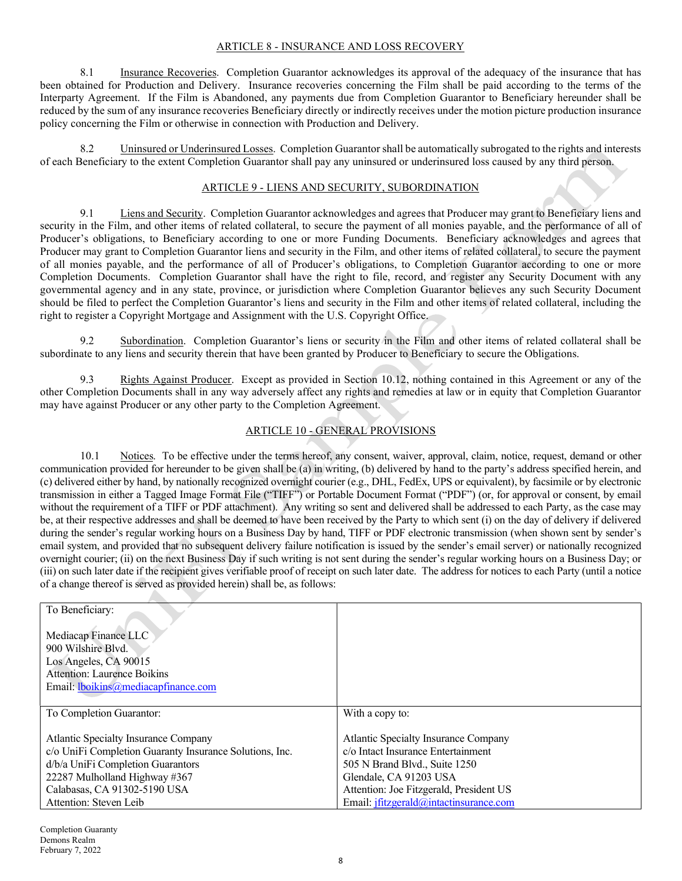## ARTICLE 8 - INSURANCE AND LOSS RECOVERY

8.1 Insurance Recoveries. Completion Guarantor acknowledges its approval of the adequacy of the insurance that has been obtained for Production and Delivery. Insurance recoveries concerning the Film shall be paid according to the terms of the Interparty Agreement. If the Film is Abandoned, any payments due from Completion Guarantor to Beneficiary hereunder shall be reduced by the sum of any insurance recoveries Beneficiary directly or indirectly receives under the motion picture production insurance policy concerning the Film or otherwise in connection with Production and Delivery.

8.2 Uninsured or Underinsured Losses. Completion Guarantor shall be automatically subrogated to the rights and interests of each Beneficiary to the extent Completion Guarantor shall pay any uninsured or underinsured loss caused by any third person.

#### ARTICLE 9 - LIENS AND SECURITY, SUBORDINATION

9.1 Liens and Security. Completion Guarantor acknowledges and agrees that Producer may grant to Beneficiary liens and security in the Film, and other items of related collateral, to secure the payment of all monies payable, and the performance of all of Producer's obligations, to Beneficiary according to one or more Funding Documents. Beneficiary acknowledges and agrees that Producer may grant to Completion Guarantor liens and security in the Film, and other items of related collateral, to secure the payment of all monies payable, and the performance of all of Producer's obligations, to Completion Guarantor according to one or more Completion Documents. Completion Guarantor shall have the right to file, record, and register any Security Document with any governmental agency and in any state, province, or jurisdiction where Completion Guarantor believes any such Security Document should be filed to perfect the Completion Guarantor's liens and security in the Film and other items of related collateral, including the right to register a Copyright Mortgage and Assignment with the U.S. Copyright Office.

9.2 Subordination. Completion Guarantor's liens or security in the Film and other items of related collateral shall be subordinate to any liens and security therein that have been granted by Producer to Beneficiary to secure the Obligations.

9.3 Rights Against Producer. Except as provided in Section 10.12, nothing contained in this Agreement or any of the other Completion Documents shall in any way adversely affect any rights and remedies at law or in equity that Completion Guarantor may have against Producer or any other party to the Completion Agreement.

# ARTICLE 10 - GENERAL PROVISIONS

10.1 Notices. To be effective under the terms hereof, any consent, waiver, approval, claim, notice, request, demand or other communication provided for hereunder to be given shall be (a) in writing, (b) delivered by hand to the party's address specified herein, and (c) delivered either by hand, by nationally recognized overnight courier (e.g., DHL, FedEx, UPS or equivalent), by facsimile or by electronic transmission in either a Tagged Image Format File ("TIFF") or Portable Document Format ("PDF") (or, for approval or consent, by email without the requirement of a TIFF or PDF attachment). Any writing so sent and delivered shall be addressed to each Party, as the case may be, at their respective addresses and shall be deemed to have been received by the Party to which sent (i) on the day of delivery if delivered during the sender's regular working hours on a Business Day by hand, TIFF or PDF electronic transmission (when shown sent by sender's email system, and provided that no subsequent delivery failure notification is issued by the sender's email server) or nationally recognized overnight courier; (ii) on the next Business Day if such writing is not sent during the sender's regular working hours on a Business Day; or (iii) on such later date if the recipient gives verifiable proof of receipt on such later date. The address for notices to each Party (until a notice of a change thereof is served as provided herein) shall be, as follows:

| To Beneficiary:                                         |                                         |
|---------------------------------------------------------|-----------------------------------------|
|                                                         |                                         |
| Mediacap Finance LLC                                    |                                         |
| 900 Wilshire Blyd.                                      |                                         |
| Los Angeles, CA 90015                                   |                                         |
| <b>Attention: Laurence Boikins</b>                      |                                         |
| Email: lboikins@mediacapfinance.com                     |                                         |
|                                                         |                                         |
| To Completion Guarantor:                                | With a copy to:                         |
|                                                         |                                         |
| Atlantic Specialty Insurance Company                    | Atlantic Specialty Insurance Company    |
| c/o UniFi Completion Guaranty Insurance Solutions, Inc. | c/o Intact Insurance Entertainment      |
| d/b/a UniFi Completion Guarantors                       | 505 N Brand Blvd., Suite 1250           |
| 22287 Mulholland Highway #367                           | Glendale, CA 91203 USA                  |
| Calabasas, CA 91302-5190 USA                            | Attention: Joe Fitzgerald, President US |
| Attention: Steven Leib                                  | Email: jfitzgerald@intactinsurance.com  |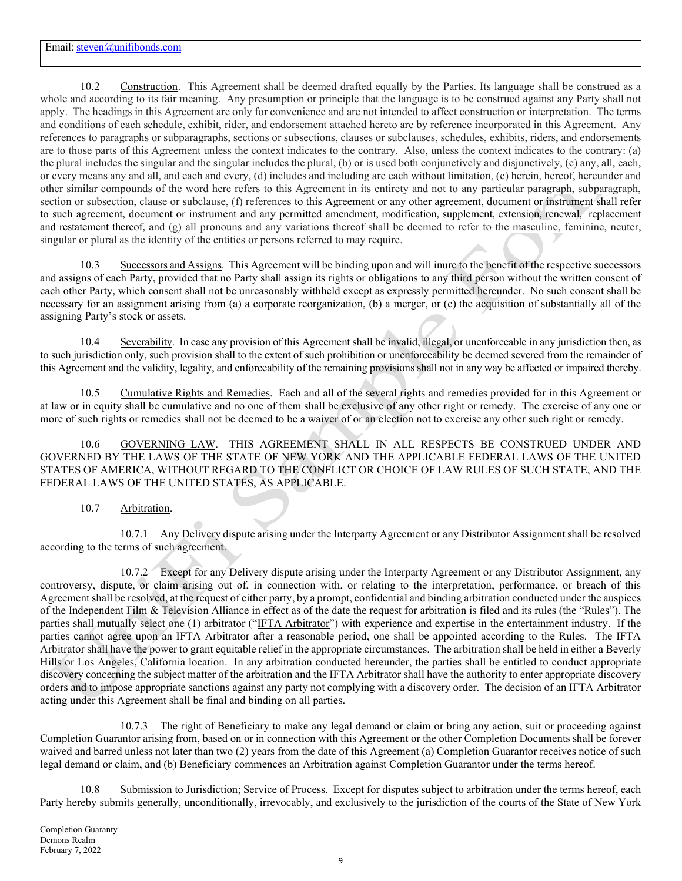| $\sim$<br>Email:<br>teven( <i>a</i> )uni<br>and has a search of the first<br>con<br>ատու |  |
|------------------------------------------------------------------------------------------|--|
|                                                                                          |  |

10.2 Construction. This Agreement shall be deemed drafted equally by the Parties. Its language shall be construed as a whole and according to its fair meaning. Any presumption or principle that the language is to be construed against any Party shall not apply. The headings in this Agreement are only for convenience and are not intended to affect construction or interpretation. The terms and conditions of each schedule, exhibit, rider, and endorsement attached hereto are by reference incorporated in this Agreement. Any references to paragraphs or subparagraphs, sections or subsections, clauses or subclauses, schedules, exhibits, riders, and endorsements are to those parts of this Agreement unless the context indicates to the contrary. Also, unless the context indicates to the contrary: (a) the plural includes the singular and the singular includes the plural, (b) or is used both conjunctively and disjunctively, (c) any, all, each, or every means any and all, and each and every, (d) includes and including are each without limitation, (e) herein, hereof, hereunder and other similar compounds of the word here refers to this Agreement in its entirety and not to any particular paragraph, subparagraph, section or subsection, clause or subclause, (f) references to this Agreement or any other agreement, document or instrument shall refer to such agreement, document or instrument and any permitted amendment, modification, supplement, extension, renewal, replacement and restatement thereof, and (g) all pronouns and any variations thereof shall be deemed to refer to the masculine, feminine, neuter, singular or plural as the identity of the entities or persons referred to may require.

10.3 Successors and Assigns. This Agreement will be binding upon and will inure to the benefit of the respective successors and assigns of each Party, provided that no Party shall assign its rights or obligations to any third person without the written consent of each other Party, which consent shall not be unreasonably withheld except as expressly permitted hereunder. No such consent shall be necessary for an assignment arising from (a) a corporate reorganization, (b) a merger, or (c) the acquisition of substantially all of the assigning Party's stock or assets.

10.4 Severability. In case any provision of this Agreement shall be invalid, illegal, or unenforceable in any jurisdiction then, as to such jurisdiction only, such provision shall to the extent of such prohibition or unenforceability be deemed severed from the remainder of this Agreement and the validity, legality, and enforceability of the remaining provisions shall not in any way be affected or impaired thereby.

10.5 Cumulative Rights and Remedies. Each and all of the several rights and remedies provided for in this Agreement or at law or in equity shall be cumulative and no one of them shall be exclusive of any other right or remedy. The exercise of any one or more of such rights or remedies shall not be deemed to be a waiver of or an election not to exercise any other such right or remedy.

10.6 GOVERNING LAW. THIS AGREEMENT SHALL IN ALL RESPECTS BE CONSTRUED UNDER AND GOVERNED BY THE LAWS OF THE STATE OF NEW YORK AND THE APPLICABLE FEDERAL LAWS OF THE UNITED STATES OF AMERICA, WITHOUT REGARD TO THE CONFLICT OR CHOICE OF LAW RULES OF SUCH STATE, AND THE FEDERAL LAWS OF THE UNITED STATES, AS APPLICABLE.

# 10.7 Arbitration.

10.7.1 Any Delivery dispute arising under the Interparty Agreement or any Distributor Assignment shall be resolved according to the terms of such agreement.

10.7.2 Except for any Delivery dispute arising under the Interparty Agreement or any Distributor Assignment, any controversy, dispute, or claim arising out of, in connection with, or relating to the interpretation, performance, or breach of this Agreement shall be resolved, at the request of either party, by a prompt, confidential and binding arbitration conducted under the auspices of the Independent Film & Television Alliance in effect as of the date the request for arbitration is filed and its rules (the "Rules"). The parties shall mutually select one (1) arbitrator ("IFTA Arbitrator") with experience and expertise in the entertainment industry. If the parties cannot agree upon an IFTA Arbitrator after a reasonable period, one shall be appointed according to the Rules. The IFTA Arbitrator shall have the power to grant equitable relief in the appropriate circumstances. The arbitration shall be held in either a Beverly Hills or Los Angeles, California location. In any arbitration conducted hereunder, the parties shall be entitled to conduct appropriate discovery concerning the subject matter of the arbitration and the IFTA Arbitrator shall have the authority to enter appropriate discovery orders and to impose appropriate sanctions against any party not complying with a discovery order. The decision of an IFTA Arbitrator acting under this Agreement shall be final and binding on all parties.

10.7.3 The right of Beneficiary to make any legal demand or claim or bring any action, suit or proceeding against Completion Guarantor arising from, based on or in connection with this Agreement or the other Completion Documents shall be forever waived and barred unless not later than two (2) years from the date of this Agreement (a) Completion Guarantor receives notice of such legal demand or claim, and (b) Beneficiary commences an Arbitration against Completion Guarantor under the terms hereof.

10.8 Submission to Jurisdiction; Service of Process. Except for disputes subject to arbitration under the terms hereof, each Party hereby submits generally, unconditionally, irrevocably, and exclusively to the jurisdiction of the courts of the State of New York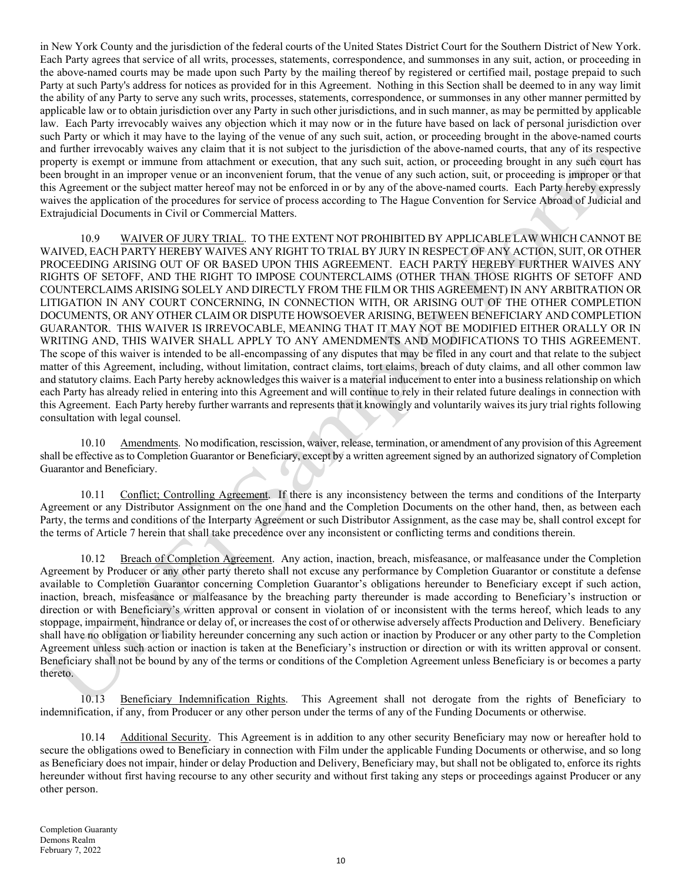in New York County and the jurisdiction of the federal courts of the United States District Court for the Southern District of New York. Each Party agrees that service of all writs, processes, statements, correspondence, and summonses in any suit, action, or proceeding in the above-named courts may be made upon such Party by the mailing thereof by registered or certified mail, postage prepaid to such Party at such Party's address for notices as provided for in this Agreement. Nothing in this Section shall be deemed to in any way limit the ability of any Party to serve any such writs, processes, statements, correspondence, or summonses in any other manner permitted by applicable law or to obtain jurisdiction over any Party in such other jurisdictions, and in such manner, as may be permitted by applicable law. Each Party irrevocably waives any objection which it may now or in the future have based on lack of personal jurisdiction over such Party or which it may have to the laying of the venue of any such suit, action, or proceeding brought in the above-named courts and further irrevocably waives any claim that it is not subject to the jurisdiction of the above-named courts, that any of its respective property is exempt or immune from attachment or execution, that any such suit, action, or proceeding brought in any such court has been brought in an improper venue or an inconvenient forum, that the venue of any such action, suit, or proceeding is improper or that this Agreement or the subject matter hereof may not be enforced in or by any of the above-named courts. Each Party hereby expressly waives the application of the procedures for service of process according to The Hague Convention for Service Abroad of Judicial and Extrajudicial Documents in Civil or Commercial Matters.

10.9 WAIVER OF JURY TRIAL. TO THE EXTENT NOT PROHIBITED BY APPLICABLE LAW WHICH CANNOT BE WAIVED, EACH PARTY HEREBY WAIVES ANY RIGHT TO TRIAL BY JURY IN RESPECT OF ANY ACTION, SUIT, OR OTHER PROCEEDING ARISING OUT OF OR BASED UPON THIS AGREEMENT. EACH PARTY HEREBY FURTHER WAIVES ANY RIGHTS OF SETOFF, AND THE RIGHT TO IMPOSE COUNTERCLAIMS (OTHER THAN THOSE RIGHTS OF SETOFF AND COUNTERCLAIMS ARISING SOLELY AND DIRECTLY FROM THE FILM OR THIS AGREEMENT) IN ANY ARBITRATION OR LITIGATION IN ANY COURT CONCERNING, IN CONNECTION WITH, OR ARISING OUT OF THE OTHER COMPLETION DOCUMENTS, OR ANY OTHER CLAIM OR DISPUTE HOWSOEVER ARISING, BETWEEN BENEFICIARY AND COMPLETION GUARANTOR. THIS WAIVER IS IRREVOCABLE, MEANING THAT IT MAY NOT BE MODIFIED EITHER ORALLY OR IN WRITING AND, THIS WAIVER SHALL APPLY TO ANY AMENDMENTS AND MODIFICATIONS TO THIS AGREEMENT. The scope of this waiver is intended to be all-encompassing of any disputes that may be filed in any court and that relate to the subject matter of this Agreement, including, without limitation, contract claims, tort claims, breach of duty claims, and all other common law and statutory claims. Each Party hereby acknowledges this waiver is a material inducement to enter into a business relationship on which each Party has already relied in entering into this Agreement and will continue to rely in their related future dealings in connection with this Agreement. Each Party hereby further warrants and represents that it knowingly and voluntarily waives its jury trial rights following consultation with legal counsel.

10.10 Amendments. No modification, rescission, waiver, release, termination, or amendment of any provision of this Agreement shall be effective as to Completion Guarantor or Beneficiary, except by a written agreement signed by an authorized signatory of Completion Guarantor and Beneficiary.

10.11 Conflict; Controlling Agreement. If there is any inconsistency between the terms and conditions of the Interparty Agreement or any Distributor Assignment on the one hand and the Completion Documents on the other hand, then, as between each Party, the terms and conditions of the Interparty Agreement or such Distributor Assignment, as the case may be, shall control except for the terms of Article 7 herein that shall take precedence over any inconsistent or conflicting terms and conditions therein.

10.12 Breach of Completion Agreement. Any action, inaction, breach, misfeasance, or malfeasance under the Completion Agreement by Producer or any other party thereto shall not excuse any performance by Completion Guarantor or constitute a defense available to Completion Guarantor concerning Completion Guarantor's obligations hereunder to Beneficiary except if such action, inaction, breach, misfeasance or malfeasance by the breaching party thereunder is made according to Beneficiary's instruction or direction or with Beneficiary's written approval or consent in violation of or inconsistent with the terms hereof, which leads to any stoppage, impairment, hindrance or delay of, or increases the cost of or otherwise adversely affects Production and Delivery. Beneficiary shall have no obligation or liability hereunder concerning any such action or inaction by Producer or any other party to the Completion Agreement unless such action or inaction is taken at the Beneficiary's instruction or direction or with its written approval or consent. Beneficiary shall not be bound by any of the terms or conditions of the Completion Agreement unless Beneficiary is or becomes a party thereto.

10.13 Beneficiary Indemnification Rights. This Agreement shall not derogate from the rights of Beneficiary to indemnification, if any, from Producer or any other person under the terms of any of the Funding Documents or otherwise.

10.14 Additional Security. This Agreement is in addition to any other security Beneficiary may now or hereafter hold to secure the obligations owed to Beneficiary in connection with Film under the applicable Funding Documents or otherwise, and so long as Beneficiary does not impair, hinder or delay Production and Delivery, Beneficiary may, but shall not be obligated to, enforce its rights hereunder without first having recourse to any other security and without first taking any steps or proceedings against Producer or any other person.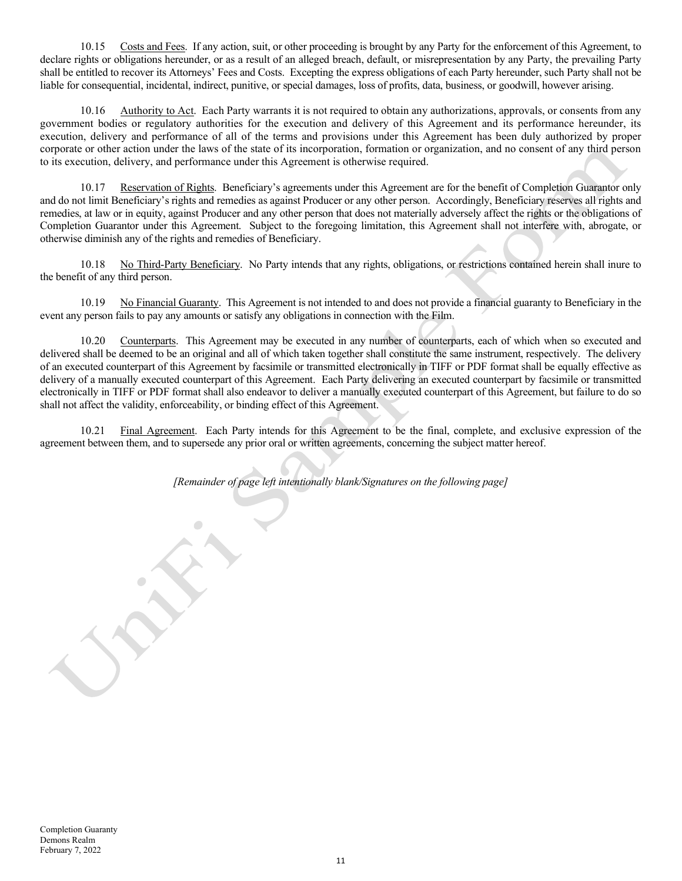10.15 Costs and Fees. If any action, suit, or other proceeding is brought by any Party for the enforcement of this Agreement, to declare rights or obligations hereunder, or as a result of an alleged breach, default, or misrepresentation by any Party, the prevailing Party shall be entitled to recover its Attorneys' Fees and Costs. Excepting the express obligations of each Party hereunder, such Party shall not be liable for consequential, incidental, indirect, punitive, or special damages, loss of profits, data, business, or goodwill, however arising.

10.16 Authority to Act. Each Party warrants it is not required to obtain any authorizations, approvals, or consents from any government bodies or regulatory authorities for the execution and delivery of this Agreement and its performance hereunder, its execution, delivery and performance of all of the terms and provisions under this Agreement has been duly authorized by proper corporate or other action under the laws of the state of its incorporation, formation or organization, and no consent of any third person to its execution, delivery, and performance under this Agreement is otherwise required.

10.17 Reservation of Rights. Beneficiary's agreements under this Agreement are for the benefit of Completion Guarantor only and do not limit Beneficiary's rights and remedies as against Producer or any other person. Accordingly, Beneficiary reserves all rights and remedies, at law or in equity, against Producer and any other person that does not materially adversely affect the rights or the obligations of Completion Guarantor under this Agreement. Subject to the foregoing limitation, this Agreement shall not interfere with, abrogate, or otherwise diminish any of the rights and remedies of Beneficiary.

10.18 No Third-Party Beneficiary. No Party intends that any rights, obligations, or restrictions contained herein shall inure to the benefit of any third person.

10.19 No Financial Guaranty. This Agreement is not intended to and does not provide a financial guaranty to Beneficiary in the event any person fails to pay any amounts or satisfy any obligations in connection with the Film.

10.20 Counterparts. This Agreement may be executed in any number of counterparts, each of which when so executed and delivered shall be deemed to be an original and all of which taken together shall constitute the same instrument, respectively. The delivery of an executed counterpart of this Agreement by facsimile or transmitted electronically in TIFF or PDF format shall be equally effective as delivery of a manually executed counterpart of this Agreement. Each Party delivering an executed counterpart by facsimile or transmitted electronically in TIFF or PDF format shall also endeavor to deliver a manually executed counterpart of this Agreement, but failure to do so shall not affect the validity, enforceability, or binding effect of this Agreement.

10.21 Final Agreement. Each Party intends for this Agreement to be the final, complete, and exclusive expression of the agreement between them, and to supersede any prior oral or written agreements, concerning the subject matter hereof.

[Remainder of page left intentionally blank/Signatures on the following page]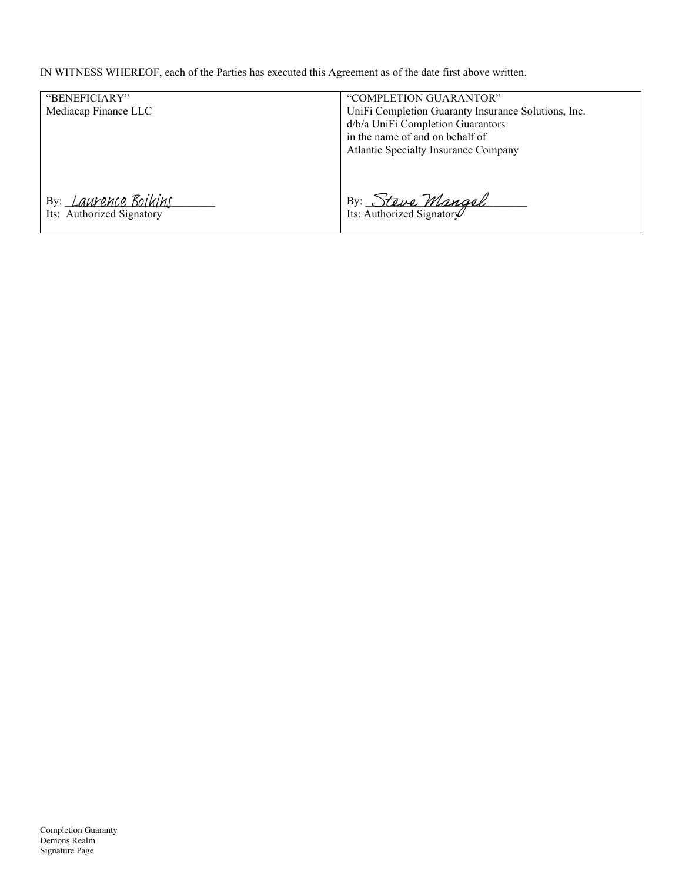IN WITNESS WHEREOF, each of the Parties has executed this Agreement as of the date first above written.

| "BENEFICIARY"               | "COMPLETION GUARANTOR"                              |
|-----------------------------|-----------------------------------------------------|
| Mediacap Finance LLC        | UniFi Completion Guaranty Insurance Solutions, Inc. |
|                             | d/b/a UniFi Completion Guarantors                   |
|                             | in the name of and on behalf of                     |
|                             | <b>Atlantic Specialty Insurance Company</b>         |
|                             |                                                     |
|                             |                                                     |
|                             |                                                     |
| By: <i>Laurence Boikins</i> | By: <u>Steve Mangel</u>                             |
| Its: Authorized Signatory   |                                                     |
|                             |                                                     |